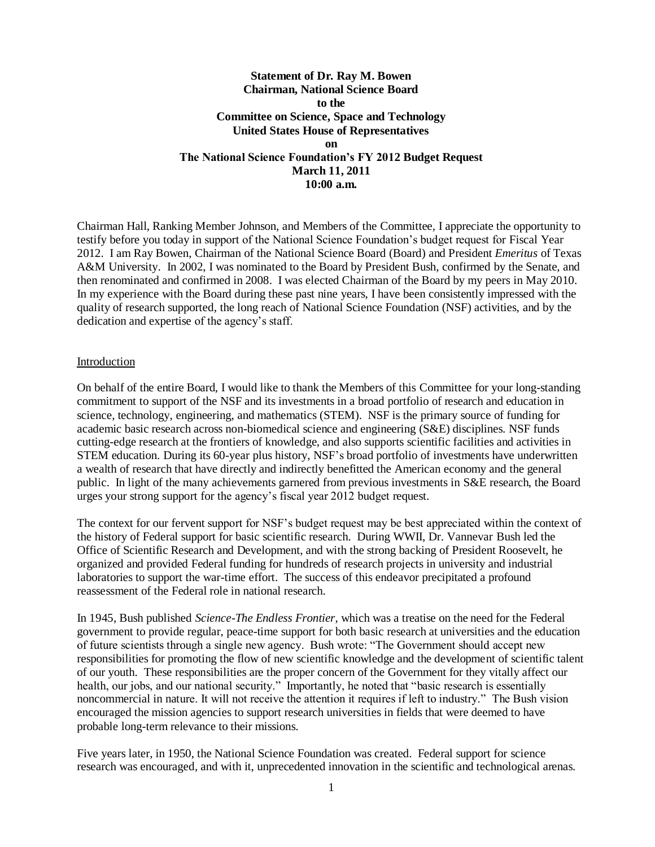# **Statement of Dr. Ray M. Bowen Chairman, National Science Board to the Committee on Science, Space and Technology United States House of Representatives on The National Science Foundation's FY 2012 Budget Request March 11, 2011 10:00 a.m.**

Chairman Hall, Ranking Member Johnson, and Members of the Committee, I appreciate the opportunity to testify before you today in support of the National Science Foundation"s budget request for Fiscal Year 2012. I am Ray Bowen, Chairman of the National Science Board (Board) and President *Emeritus* of Texas A&M University. In 2002, I was nominated to the Board by President Bush, confirmed by the Senate, and then renominated and confirmed in 2008. I was elected Chairman of the Board by my peers in May 2010. In my experience with the Board during these past nine years, I have been consistently impressed with the quality of research supported, the long reach of National Science Foundation (NSF) activities, and by the dedication and expertise of the agency"s staff.

#### Introduction

On behalf of the entire Board, I would like to thank the Members of this Committee for your long-standing commitment to support of the NSF and its investments in a broad portfolio of research and education in science, technology, engineering, and mathematics (STEM). NSF is the primary source of funding for academic basic research across non-biomedical science and engineering (S&E) disciplines. NSF funds cutting-edge research at the frontiers of knowledge, and also supports scientific facilities and activities in STEM education. During its 60-year plus history, NSF"s broad portfolio of investments have underwritten a wealth of research that have directly and indirectly benefitted the American economy and the general public. In light of the many achievements garnered from previous investments in S&E research, the Board urges your strong support for the agency"s fiscal year 2012 budget request.

The context for our fervent support for NSF"s budget request may be best appreciated within the context of the history of Federal support for basic scientific research. During WWII, Dr. Vannevar Bush led the Office of Scientific Research and Development, and with the strong backing of President Roosevelt, he organized and provided Federal funding for hundreds of research projects in university and industrial laboratories to support the war-time effort. The success of this endeavor precipitated a profound reassessment of the Federal role in national research.

In 1945, Bush published *Science-The Endless Frontier*, which was a treatise on the need for the Federal government to provide regular, peace-time support for both basic research at universities and the education of future scientists through a single new agency. Bush wrote: "The Government should accept new responsibilities for promoting the flow of new scientific knowledge and the development of scientific talent of our youth. These responsibilities are the proper concern of the Government for they vitally affect our health, our jobs, and our national security." Importantly, he noted that "basic research is essentially noncommercial in nature. It will not receive the attention it requires if left to industry." The Bush vision encouraged the mission agencies to support research universities in fields that were deemed to have probable long-term relevance to their missions.

Five years later, in 1950, the National Science Foundation was created. Federal support for science research was encouraged, and with it, unprecedented innovation in the scientific and technological arenas.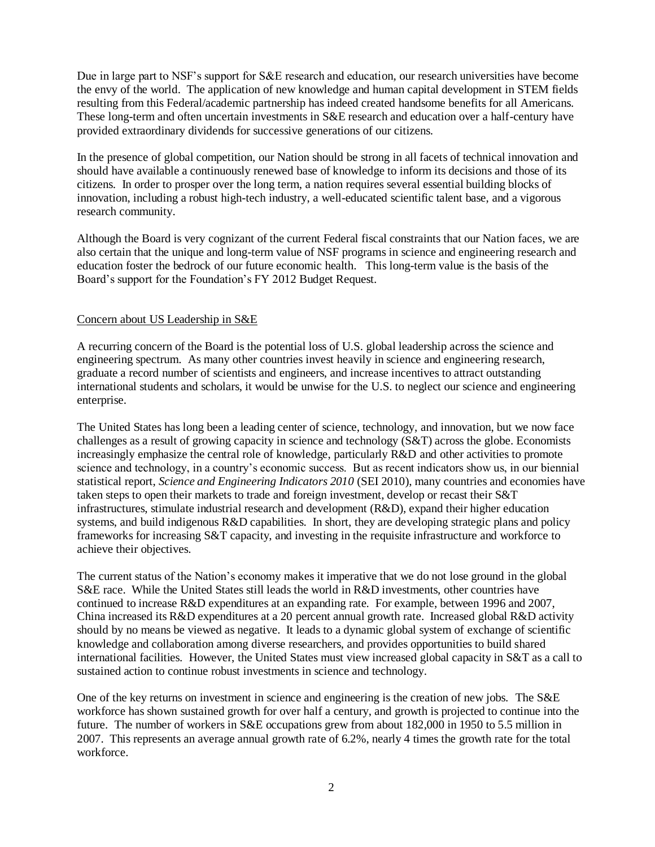Due in large part to NSF's support for S&E research and education, our research universities have become the envy of the world. The application of new knowledge and human capital development in STEM fields resulting from this Federal/academic partnership has indeed created handsome benefits for all Americans. These long-term and often uncertain investments in S&E research and education over a half-century have provided extraordinary dividends for successive generations of our citizens.

In the presence of global competition, our Nation should be strong in all facets of technical innovation and should have available a continuously renewed base of knowledge to inform its decisions and those of its citizens. In order to prosper over the long term, a nation requires several essential building blocks of innovation, including a robust high-tech industry, a well-educated scientific talent base, and a vigorous research community.

Although the Board is very cognizant of the current Federal fiscal constraints that our Nation faces, we are also certain that the unique and long-term value of NSF programs in science and engineering research and education foster the bedrock of our future economic health. This long-term value is the basis of the Board"s support for the Foundation"s FY 2012 Budget Request.

## Concern about US Leadership in S&E

A recurring concern of the Board is the potential loss of U.S. global leadership across the science and engineering spectrum. As many other countries invest heavily in science and engineering research, graduate a record number of scientists and engineers, and increase incentives to attract outstanding international students and scholars, it would be unwise for the U.S. to neglect our science and engineering enterprise.

The United States has long been a leading center of science, technology, and innovation, but we now face challenges as a result of growing capacity in science and technology (S&T) across the globe. Economists increasingly emphasize the central role of knowledge, particularly R&D and other activities to promote science and technology, in a country"s economic success. But as recent indicators show us, in our biennial statistical report, *Science and Engineering Indicators 2010* (SEI 2010), many countries and economies have taken steps to open their markets to trade and foreign investment, develop or recast their S&T infrastructures, stimulate industrial research and development (R&D), expand their higher education systems, and build indigenous R&D capabilities. In short, they are developing strategic plans and policy frameworks for increasing S&T capacity, and investing in the requisite infrastructure and workforce to achieve their objectives.

The current status of the Nation's economy makes it imperative that we do not lose ground in the global S&E race. While the United States still leads the world in R&D investments, other countries have continued to increase R&D expenditures at an expanding rate. For example, between 1996 and 2007, China increased its R&D expenditures at a 20 percent annual growth rate. Increased global R&D activity should by no means be viewed as negative. It leads to a dynamic global system of exchange of scientific knowledge and collaboration among diverse researchers, and provides opportunities to build shared international facilities. However, the United States must view increased global capacity in S&T as a call to sustained action to continue robust investments in science and technology.

One of the key returns on investment in science and engineering is the creation of new jobs. The S&E workforce has shown sustained growth for over half a century, and growth is projected to continue into the future. The number of workers in S&E occupations grew from about 182,000 in 1950 to 5.5 million in 2007. This represents an average annual growth rate of 6.2%, nearly 4 times the growth rate for the total workforce.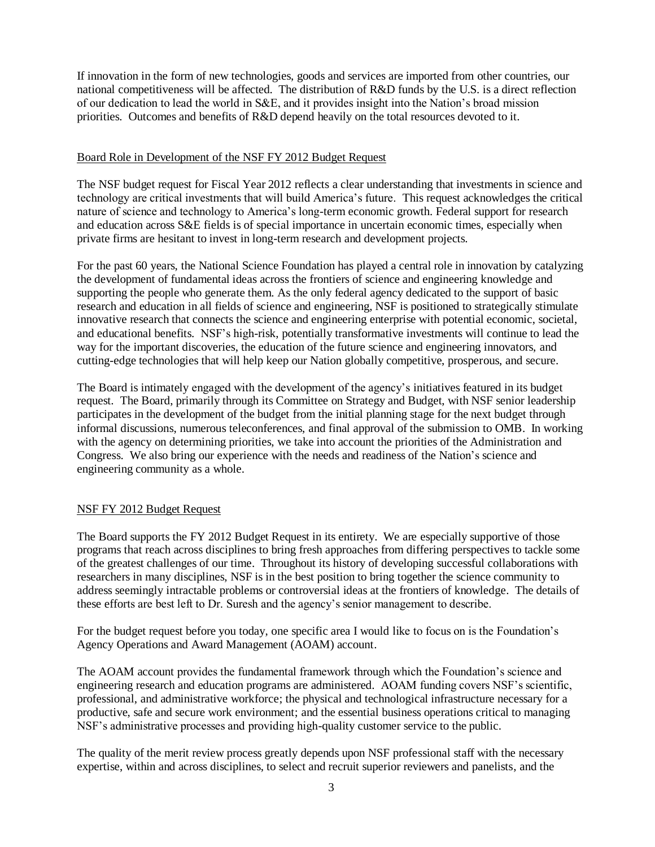If innovation in the form of new technologies, goods and services are imported from other countries, our national competitiveness will be affected. The distribution of R&D funds by the U.S. is a direct reflection of our dedication to lead the world in S&E, and it provides insight into the Nation"s broad mission priorities. Outcomes and benefits of R&D depend heavily on the total resources devoted to it.

#### Board Role in Development of the NSF FY 2012 Budget Request

The NSF budget request for Fiscal Year 2012 reflects a clear understanding that investments in science and technology are critical investments that will build America"s future. This request acknowledges the critical nature of science and technology to America's long-term economic growth. Federal support for research and education across S&E fields is of special importance in uncertain economic times, especially when private firms are hesitant to invest in long-term research and development projects.

For the past 60 years, the National Science Foundation has played a central role in innovation by catalyzing the development of fundamental ideas across the frontiers of science and engineering knowledge and supporting the people who generate them. As the only federal agency dedicated to the support of basic research and education in all fields of science and engineering, NSF is positioned to strategically stimulate innovative research that connects the science and engineering enterprise with potential economic, societal, and educational benefits. NSF"s high-risk, potentially transformative investments will continue to lead the way for the important discoveries, the education of the future science and engineering innovators, and cutting-edge technologies that will help keep our Nation globally competitive, prosperous, and secure.

The Board is intimately engaged with the development of the agency"s initiatives featured in its budget request. The Board, primarily through its Committee on Strategy and Budget, with NSF senior leadership participates in the development of the budget from the initial planning stage for the next budget through informal discussions, numerous teleconferences, and final approval of the submission to OMB. In working with the agency on determining priorities, we take into account the priorities of the Administration and Congress. We also bring our experience with the needs and readiness of the Nation"s science and engineering community as a whole.

## NSF FY 2012 Budget Request

The Board supports the FY 2012 Budget Request in its entirety. We are especially supportive of those programs that reach across disciplines to bring fresh approaches from differing perspectives to tackle some of the greatest challenges of our time. Throughout its history of developing successful collaborations with researchers in many disciplines, NSF is in the best position to bring together the science community to address seemingly intractable problems or controversial ideas at the frontiers of knowledge. The details of these efforts are best left to Dr. Suresh and the agency"s senior management to describe.

For the budget request before you today, one specific area I would like to focus on is the Foundation"s Agency Operations and Award Management (AOAM) account.

The AOAM account provides the fundamental framework through which the Foundation's science and engineering research and education programs are administered. AOAM funding covers NSF"s scientific, professional, and administrative workforce; the physical and technological infrastructure necessary for a productive, safe and secure work environment; and the essential business operations critical to managing NSF"s administrative processes and providing high-quality customer service to the public.

The quality of the merit review process greatly depends upon NSF professional staff with the necessary expertise, within and across disciplines, to select and recruit superior reviewers and panelists, and the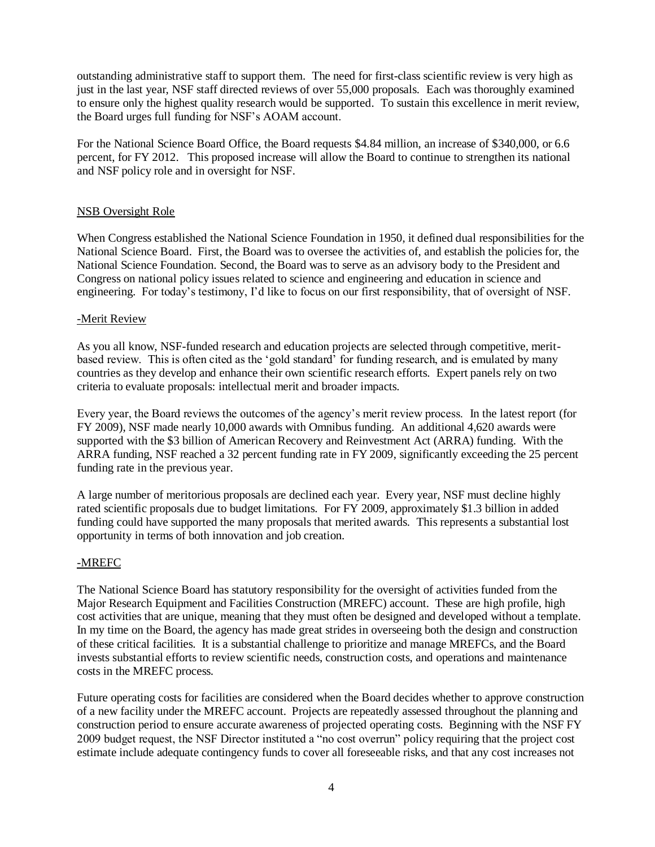outstanding administrative staff to support them. The need for first-class scientific review is very high as just in the last year, NSF staff directed reviews of over 55,000 proposals. Each was thoroughly examined to ensure only the highest quality research would be supported. To sustain this excellence in merit review, the Board urges full funding for NSF"s AOAM account.

For the National Science Board Office, the Board requests \$4.84 million, an increase of \$340,000, or 6.6 percent, for FY 2012. This proposed increase will allow the Board to continue to strengthen its national and NSF policy role and in oversight for NSF.

# NSB Oversight Role

When Congress established the National Science Foundation in 1950, it defined dual responsibilities for the National Science Board. First, the Board was to oversee the activities of, and establish the policies for, the National Science Foundation. Second, the Board was to serve as an advisory body to the President and Congress on national policy issues related to science and engineering and education in science and engineering. For today's testimony, I'd like to focus on our first responsibility, that of oversight of NSF.

## -Merit Review

As you all know, NSF-funded research and education projects are selected through competitive, meritbased review. This is often cited as the "gold standard" for funding research, and is emulated by many countries as they develop and enhance their own scientific research efforts. Expert panels rely on two criteria to evaluate proposals: intellectual merit and broader impacts.

Every year, the Board reviews the outcomes of the agency"s merit review process. In the latest report (for FY 2009), NSF made nearly 10,000 awards with Omnibus funding. An additional 4,620 awards were supported with the \$3 billion of American Recovery and Reinvestment Act (ARRA) funding. With the ARRA funding, NSF reached a 32 percent funding rate in FY 2009, significantly exceeding the 25 percent funding rate in the previous year.

A large number of meritorious proposals are declined each year. Every year, NSF must decline highly rated scientific proposals due to budget limitations. For FY 2009, approximately \$1.3 billion in added funding could have supported the many proposals that merited awards. This represents a substantial lost opportunity in terms of both innovation and job creation.

## -MREFC

The National Science Board has statutory responsibility for the oversight of activities funded from the Major Research Equipment and Facilities Construction (MREFC) account. These are high profile, high cost activities that are unique, meaning that they must often be designed and developed without a template. In my time on the Board, the agency has made great strides in overseeing both the design and construction of these critical facilities. It is a substantial challenge to prioritize and manage MREFCs, and the Board invests substantial efforts to review scientific needs, construction costs, and operations and maintenance costs in the MREFC process.

Future operating costs for facilities are considered when the Board decides whether to approve construction of a new facility under the MREFC account. Projects are repeatedly assessed throughout the planning and construction period to ensure accurate awareness of projected operating costs. Beginning with the NSF FY 2009 budget request, the NSF Director instituted a "no cost overrun" policy requiring that the project cost estimate include adequate contingency funds to cover all foreseeable risks, and that any cost increases not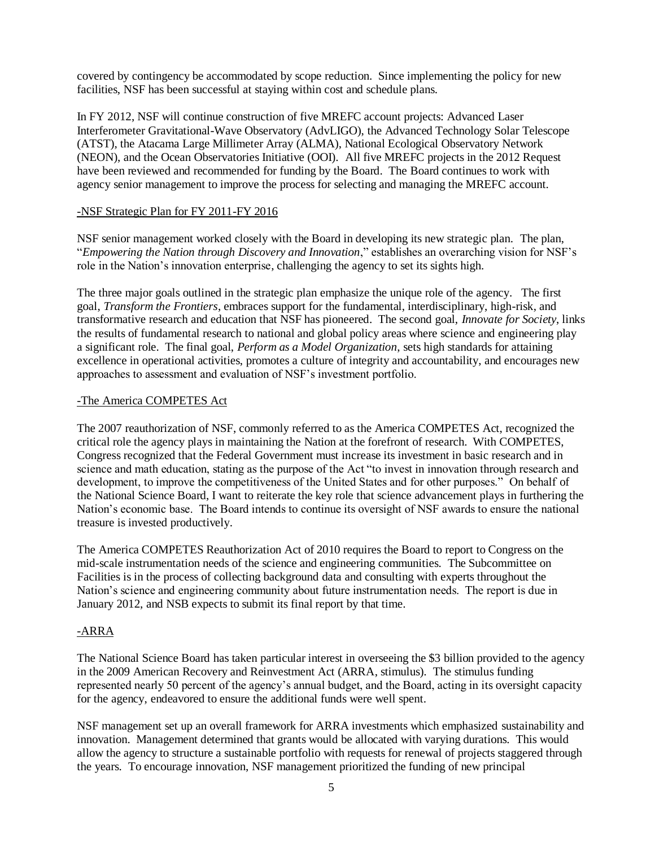covered by contingency be accommodated by scope reduction. Since implementing the policy for new facilities, NSF has been successful at staying within cost and schedule plans.

In FY 2012, NSF will continue construction of five MREFC account projects: Advanced Laser Interferometer Gravitational-Wave Observatory (AdvLIGO), the Advanced Technology Solar Telescope (ATST), the Atacama Large Millimeter Array (ALMA), National Ecological Observatory Network (NEON), and the Ocean Observatories Initiative (OOI). All five MREFC projects in the 2012 Request have been reviewed and recommended for funding by the Board. The Board continues to work with agency senior management to improve the process for selecting and managing the MREFC account.

#### -NSF Strategic Plan for FY 2011-FY 2016

NSF senior management worked closely with the Board in developing its new strategic plan. The plan, "*Empowering the Nation through Discovery and Innovation*," establishes an overarching vision for NSF"s role in the Nation"s innovation enterprise, challenging the agency to set its sights high.

The three major goals outlined in the strategic plan emphasize the unique role of the agency. The first goal, *Transform the Frontiers*, embraces support for the fundamental, interdisciplinary, high-risk, and transformative research and education that NSF has pioneered. The second goal, *Innovate for Society*, links the results of fundamental research to national and global policy areas where science and engineering play a significant role. The final goal, *Perform as a Model Organization*, sets high standards for attaining excellence in operational activities, promotes a culture of integrity and accountability, and encourages new approaches to assessment and evaluation of NSF"s investment portfolio.

#### -The America COMPETES Act

The 2007 reauthorization of NSF, commonly referred to as the America COMPETES Act, recognized the critical role the agency plays in maintaining the Nation at the forefront of research. With COMPETES, Congress recognized that the Federal Government must increase its investment in basic research and in science and math education, stating as the purpose of the Act "to invest in innovation through research and development, to improve the competitiveness of the United States and for other purposes." On behalf of the National Science Board, I want to reiterate the key role that science advancement plays in furthering the Nation"s economic base. The Board intends to continue its oversight of NSF awards to ensure the national treasure is invested productively.

The America COMPETES Reauthorization Act of 2010 requires the Board to report to Congress on the mid-scale instrumentation needs of the science and engineering communities. The Subcommittee on Facilities is in the process of collecting background data and consulting with experts throughout the Nation"s science and engineering community about future instrumentation needs. The report is due in January 2012, and NSB expects to submit its final report by that time.

## -ARRA

The National Science Board has taken particular interest in overseeing the \$3 billion provided to the agency in the 2009 American Recovery and Reinvestment Act (ARRA, stimulus). The stimulus funding represented nearly 50 percent of the agency"s annual budget, and the Board, acting in its oversight capacity for the agency, endeavored to ensure the additional funds were well spent.

NSF management set up an overall framework for ARRA investments which emphasized sustainability and innovation. Management determined that grants would be allocated with varying durations. This would allow the agency to structure a sustainable portfolio with requests for renewal of projects staggered through the years. To encourage innovation, NSF management prioritized the funding of new principal